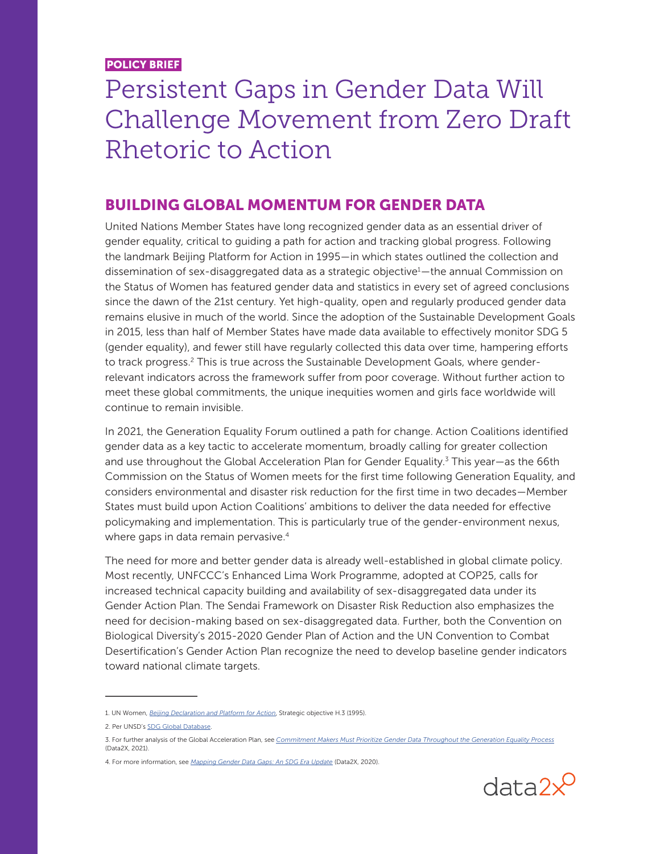POLICY BRIEF

## Persistent Gaps in Gender Data Will Challenge Movement from Zero Draft Rhetoric to Action

## BUILDING GLOBAL MOMENTUM FOR GENDER DATA

United Nations Member States have long recognized gender data as an essential driver of gender equality, critical to guiding a path for action and tracking global progress. Following the landmark Beijing Platform for Action in 1995—in which states outlined the collection and dissemination of sex-disaggregated data as a strategic objective<sup>1</sup>—the annual Commission on the Status of Women has featured gender data and statistics in every set of agreed conclusions since the dawn of the 21st century. Yet high-quality, open and regularly produced gender data remains elusive in much of the world. Since the adoption of the Sustainable Development Goals in 2015, less than half of Member States have made data available to effectively monitor SDG 5 (gender equality), and fewer still have regularly collected this data over time, hampering efforts to track progress.<sup>2</sup> This is true across the Sustainable Development Goals, where genderrelevant indicators across the framework suffer from poor coverage. Without further action to meet these global commitments, the unique inequities women and girls face worldwide will continue to remain invisible.

In 2021, the Generation Equality Forum outlined a path for change. Action Coalitions identified gender data as a key tactic to accelerate momentum, broadly calling for greater collection and use throughout the Global Acceleration Plan for Gender Equality.<sup>3</sup> This year—as the 66th Commission on the Status of Women meets for the first time following Generation Equality, and considers environmental and disaster risk reduction for the first time in two decades—Member States must build upon Action Coalitions' ambitions to deliver the data needed for effective policymaking and implementation. This is particularly true of the gender-environment nexus, where gaps in data remain pervasive.<sup>4</sup>

The need for more and better gender data is already well-established in global climate policy. Most recently, UNFCCC's Enhanced Lima Work Programme, adopted at COP25, calls for increased technical capacity building and availability of sex-disaggregated data under its Gender Action Plan. The Sendai Framework on Disaster Risk Reduction also emphasizes the need for decision-making based on sex-disaggregated data. Further, both the Convention on Biological Diversity's 2015-2020 Gender Plan of Action and the UN Convention to Combat Desertification's Gender Action Plan recognize the need to develop baseline gender indicators toward national climate targets.



<sup>1.</sup> UN Women, *[Beijing Declaration and Platform for Action](https://www.unwomen.org/en/digital-library/publications/2015/01/beijing-declaration)*, Strategic objective H.3 (1995).

<sup>2.</sup> Per UNSD's [SDG Global Database](https://unstats.un.org/sdgs/unsdg).

<sup>3.</sup> For further analysis of the Global Acceleration Plan, see *[Commitment Makers Must Prioritize Gender Data Throughout the Generation Equality Process](https://data2x.org/resource-center/gef-data-priority/)* (Data2X, 2021).

<sup>4.</sup> For more information, see *[Mapping Gender Data Gaps: An SDG Era Update](https://data2x.org/resource-center/mappinggenderdatagaps/)* (Data2X, 2020).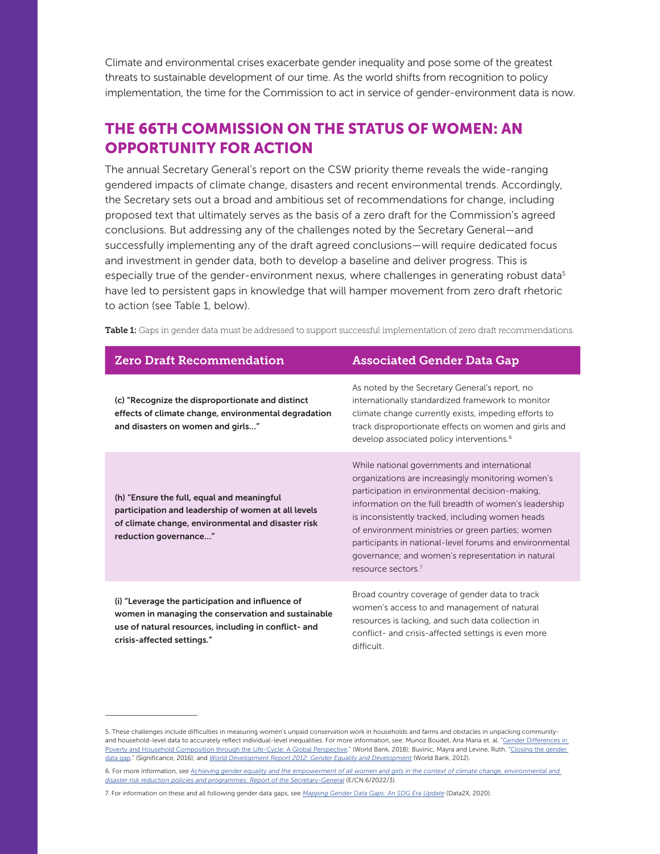Climate and environmental crises exacerbate gender inequality and pose some of the greatest threats to sustainable development of our time. As the world shifts from recognition to policy implementation, the time for the Commission to act in service of gender-environment data is now.

## THE 66TH COMMISSION ON THE STATUS OF WOMEN: AN OPPORTUNITY FOR ACTION

The annual Secretary General's report on the CSW priority theme reveals the wide-ranging gendered impacts of climate change, disasters and recent environmental trends. Accordingly, the Secretary sets out a broad and ambitious set of recommendations for change, including proposed text that ultimately serves as the basis of a zero draft for the Commission's agreed conclusions. But addressing any of the challenges noted by the Secretary General—and successfully implementing any of the draft agreed conclusions—will require dedicated focus and investment in gender data, both to develop a baseline and deliver progress. This is especially true of the gender-environment nexus, where challenges in generating robust data<sup>5</sup> have led to persistent gaps in knowledge that will hamper movement from zero draft rhetoric to action (see Table 1, below).

| <b>Zero Draft Recommendation</b>                                                                                                                                                             | <b>Associated Gender Data Gap</b>                                                                                                                                                                                                                                                                                                                                                                                                                                        |
|----------------------------------------------------------------------------------------------------------------------------------------------------------------------------------------------|--------------------------------------------------------------------------------------------------------------------------------------------------------------------------------------------------------------------------------------------------------------------------------------------------------------------------------------------------------------------------------------------------------------------------------------------------------------------------|
| (c) "Recognize the disproportionate and distinct<br>effects of climate change, environmental degradation<br>and disasters on women and girls"                                                | As noted by the Secretary General's report, no<br>internationally standardized framework to monitor<br>climate change currently exists, impeding efforts to<br>track disproportionate effects on women and girls and<br>develop associated policy interventions. <sup>6</sup>                                                                                                                                                                                            |
| (h) "Ensure the full, equal and meaningful<br>participation and leadership of women at all levels<br>of climate change, environmental and disaster risk<br>reduction governance"             | While national governments and international<br>organizations are increasingly monitoring women's<br>participation in environmental decision-making,<br>information on the full breadth of women's leadership<br>is inconsistently tracked, including women heads<br>of environment ministries or green parties; women<br>participants in national-level forums and environmental<br>governance; and women's representation in natural<br>resource sectors. <sup>7</sup> |
| (i) "Leverage the participation and influence of<br>women in managing the conservation and sustainable<br>use of natural resources, including in conflict- and<br>crisis-affected settings." | Broad country coverage of gender data to track<br>women's access to and management of natural<br>resources is lacking, and such data collection in<br>conflict- and crisis-affected settings is even more<br>difficult.                                                                                                                                                                                                                                                  |

Table 1: Gaps in gender data must be addressed to support successful implementation of zero draft recommendations.

<sup>5.</sup> These challenges include difficulties in measuring women's unpaid conservation work in households and farms and obstacles in unpacking communityand household-level data to accurately reflect individual-level inequalities. For more information, see: Munoz Boudet, Ana Maria et. al. "Gender Differences in [Poverty and Household Composition through the Life-Cycle: A Global Perspective](https://openknowledge.worldbank.org/handle/10986/29426)." (World Bank, 2018); Buvinic, Mayra and Levine, Ruth. "Closing the gender [data gap](https://data2x.org/wp-content/uploads/2019/05/Closing-the-Gender-Data-Gap-Mayra-Buvinic-and-Ruth-Levine.pdf)." (Significance, 2016); and *[World Development Report 2012: Gender Equality and Development](https://openknowledge.worldbank.org/handle/10986/4391)* (World Bank, 2012).

<sup>6.</sup> For more information, see *[Achieving gender equality and the empowerment of all women and girls in the context of climate change, environmental and](https://www.unwomen.org/en/csw/csw66-2022/official-documents)  [disaster risk reduction policies and programmes: Report of the Secretary-General](https://www.unwomen.org/en/csw/csw66-2022/official-documents)* (E/CN.6/2022/3).

<sup>7.</sup> For information on these and all following gender data gaps, see *[Mapping Gender Data Gaps: An SDG Era Update](https://data2x.org/resource-center/mappinggenderdatagaps/)* (Data2X, 2020).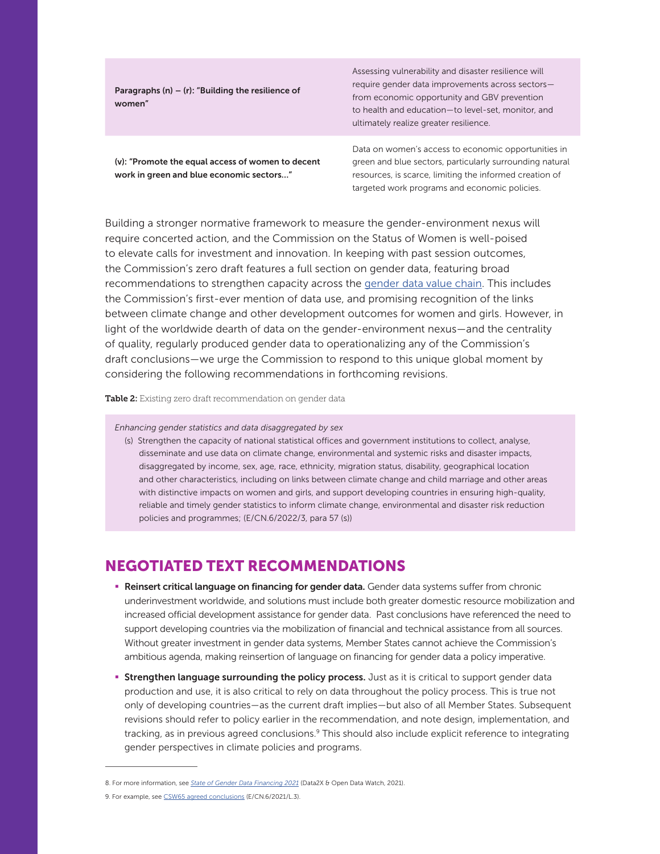Paragraphs (n) – (r): "Building the resilience of women"

Assessing vulnerability and disaster resilience will require gender data improvements across sectors from economic opportunity and GBV prevention to health and education—to level-set, monitor, and ultimately realize greater resilience.

(v): "Promote the equal access of women to decent work in green and blue economic sectors…"

Data on women's access to economic opportunities in green and blue sectors, particularly surrounding natural resources, is scarce, limiting the informed creation of targeted work programs and economic policies.

Building a stronger normative framework to measure the gender-environment nexus will require concerted action, and the Commission on the Status of Women is well-poised to elevate calls for investment and innovation. In keeping with past session outcomes, the Commission's zero draft features a full section on gender data, featuring broad recommendations to strengthen capacity across the [gender data value chain](https://data2x.org/resource-center/data-value-chain-moving-from-production-to-impact/). This includes the Commission's first-ever mention of data use, and promising recognition of the links between climate change and other development outcomes for women and girls. However, in light of the worldwide dearth of data on the gender-environment nexus—and the centrality of quality, regularly produced gender data to operationalizing any of the Commission's draft conclusions—we urge the Commission to respond to this unique global moment by considering the following recommendations in forthcoming revisions.

Table 2: Existing zero draft recommendation on gender data

*Enhancing gender statistics and data disaggregated by sex*

(s) Strengthen the capacity of national statistical offices and government institutions to collect, analyse, disseminate and use data on climate change, environmental and systemic risks and disaster impacts, disaggregated by income, sex, age, race, ethnicity, migration status, disability, geographical location and other characteristics, including on links between climate change and child marriage and other areas with distinctive impacts on women and girls, and support developing countries in ensuring high-quality, reliable and timely gender statistics to inform climate change, environmental and disaster risk reduction policies and programmes; (E/CN.6/2022/3, para 57 (s))

## NEGOTIATED TEXT RECOMMENDATIONS

- **E** Reinsert critical language on financing for gender data. Gender data systems suffer from chronic underinvestment worldwide, and solutions must include both greater domestic resource mobilization and increased official development assistance for gender data. Past conclusions have referenced the need to support developing countries via the mobilization of financial and technical assistance from all sources. Without greater investment in gender data systems, Member States cannot achieve the Commission's ambitious agenda, making reinsertion of language on financing for gender data a policy imperative.
- **Strengthen language surrounding the policy process.** Just as it is critical to support gender data production and use, it is also critical to rely on data throughout the policy process. This is true not only of developing countries—as the current draft implies—but also of all Member States. Subsequent revisions should refer to policy earlier in the recommendation, and note design, implementation, and tracking, as in previous agreed conclusions.<sup>9</sup> This should also include explicit reference to integrating gender perspectives in climate policies and programs.

<sup>8.</sup> For more information, see *[State of Gender Data Financing 2021](https://data2x.org/resource-center/state-of-gender-data-financing-2021/)* (Data2X & Open Data Watch, 2021).

<sup>9.</sup> For example, see [CSW65 agreed conclusions](https://www.unwomen.org/en/csw/csw65-2021/session-outcomes) (E/CN.6/2021/L.3).